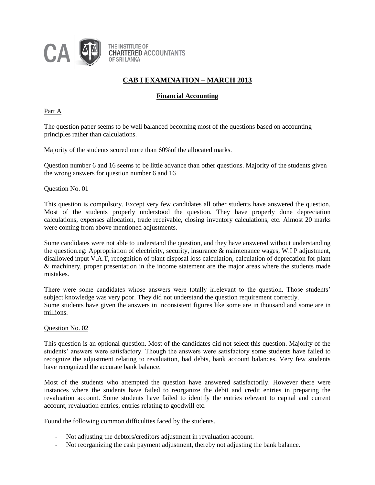

## **Financial Accounting**

#### Part A

The question paper seems to be well balanced becoming most of the questions based on accounting principles rather than calculations.

Majority of the students scored more than 60%of the allocated marks.

Question number 6 and 16 seems to be little advance than other questions. Majority of the students given the wrong answers for question number 6 and 16

#### Question No. 01

This question is compulsory. Except very few candidates all other students have answered the question. Most of the students properly understood the question. They have properly done depreciation calculations, expenses allocation, trade receivable, closing inventory calculations, etc. Almost 20 marks were coming from above mentioned adjustments.

Some candidates were not able to understand the question, and they have answered without understanding the question.eg: Appropriation of electricity, security, insurance & maintenance wages, W.I P adjustment, disallowed input V.A.T, recognition of plant disposal loss calculation, calculation of deprecation for plant & machinery, proper presentation in the income statement are the major areas where the students made mistakes.

There were some candidates whose answers were totally irrelevant to the question. Those students' subject knowledge was very poor. They did not understand the question requirement correctly. Some students have given the answers in inconsistent figures like some are in thousand and some are in millions.

#### Question No. 02

This question is an optional question. Most of the candidates did not select this question. Majority of the students' answers were satisfactory. Though the answers were satisfactory some students have failed to recognize the adjustment relating to revaluation, bad debts, bank account balances. Very few students have recognized the accurate bank balance.

Most of the students who attempted the question have answered satisfactorily. However there were instances where the students have failed to reorganize the debit and credit entries in preparing the revaluation account. Some students have failed to identify the entries relevant to capital and current account, revaluation entries, entries relating to goodwill etc.

Found the following common difficulties faced by the students.

- Not adjusting the debtors/creditors adjustment in revaluation account.
- Not reorganizing the cash payment adjustment, thereby not adjusting the bank balance.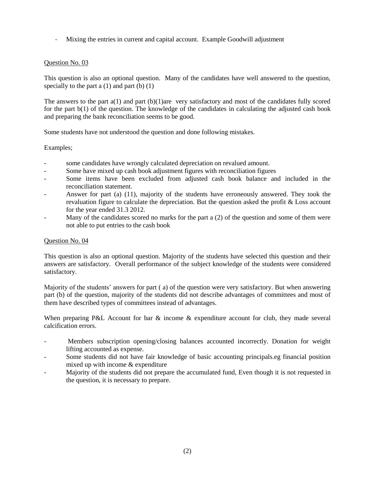- Mixing the entries in current and capital account. Example Goodwill adjustment

### Question No. 03

This question is also an optional question. Many of the candidates have well answered to the question, specially to the part  $a(1)$  and part  $(b)(1)$ 

The answers to the part a(1) and part (b)(1)are very satisfactory and most of the candidates fully scored for the part b(1) of the question. The knowledge of the candidates in calculating the adjusted cash book and preparing the bank reconciliation seems to be good.

Some students have not understood the question and done following mistakes.

## Examples;

- some candidates have wrongly calculated depreciation on revalued amount.
- Some have mixed up cash book adjustment figures with reconciliation figures
- Some items have been excluded from adjusted cash book balance and included in the reconciliation statement.
- Answer for part (a) (11), majority of the students have erroneously answered. They took the revaluation figure to calculate the depreciation. But the question asked the profit & Loss account for the year ended 31.3 2012.
- Many of the candidates scored no marks for the part  $a(2)$  of the question and some of them were not able to put entries to the cash book

### Question No. 04

This question is also an optional question. Majority of the students have selected this question and their answers are satisfactory. Overall performance of the subject knowledge of the students were considered satisfactory.

Majority of the students' answers for part ( a) of the question were very satisfactory. But when answering part (b) of the question, majority of the students did not describe advantages of committees and most of them have described types of committees instead of advantages.

When preparing P&L Account for bar & income & expenditure account for club, they made several calcification errors.

- Members subscription opening/closing balances accounted incorrectly. Donation for weight lifting accounted as expense.
- Some students did not have fair knowledge of basic accounting principals.eg financial position mixed up with income & expenditure
- Majority of the students did not prepare the accumulated fund, Even though it is not requested in the question, it is necessary to prepare.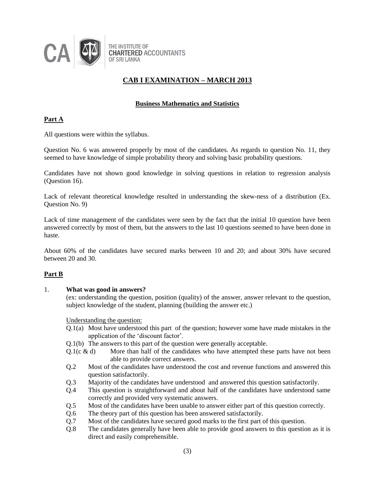

## **Business Mathematics and Statistics**

## **Part A**

All questions were within the syllabus.

Question No. 6 was answered properly by most of the candidates. As regards to question No. 11, they seemed to have knowledge of simple probability theory and solving basic probability questions.

Candidates have not shown good knowledge in solving questions in relation to regression analysis (Question 16).

Lack of relevant theoretical knowledge resulted in understanding the skew-ness of a distribution (Ex. Question No. 9)

Lack of time management of the candidates were seen by the fact that the initial 10 question have been answered correctly by most of them, but the answers to the last 10 questions seemed to have been done in haste.

About 60% of the candidates have secured marks between 10 and 20; and about 30% have secured between 20 and 30.

## **Part B**

#### 1. **What was good in answers?**

(ex: understanding the question, position (quality) of the answer, answer relevant to the question, subject knowledge of the student, planning (building the answer etc.)

Understanding the question:

- Q.1(a) Most have understood this part of the question; however some have made mistakes in the application of the 'discount factor'.
- Q.1(b) The answers to this part of the question were generally acceptable.
- Q.1( $c \& d$ ) More than half of the candidates who have attempted these parts have not been able to provide correct answers.
- Q.2 Most of the candidates have understood the cost and revenue functions and answered this question satisfactorily.
- Q.3 Majority of the candidates have understood and answered this question satisfactorily.
- Q.4 This question is straightforward and about half of the candidates have understood same correctly and provided very systematic answers.
- Q.5 Most of the candidates have been unable to answer either part of this question correctly.
- Q.6 The theory part of this question has been answered satisfactorily.
- Q.7 Most of the candidates have secured good marks to the first part of this question.
- Q.8 The candidates generally have been able to provide good answers to this question as it is direct and easily comprehensible.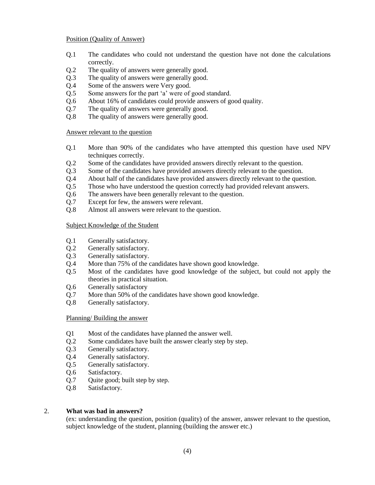#### Position (Quality of Answer)

- Q.1 The candidates who could not understand the question have not done the calculations correctly.
- Q.2 The quality of answers were generally good.
- Q.3 The quality of answers were generally good.
- Q.4 Some of the answers were Very good.
- Q.5 Some answers for the part 'a' were of good standard.
- Q.6 About 16% of candidates could provide answers of good quality.
- Q.7 The quality of answers were generally good.
- Q.8 The quality of answers were generally good.

#### Answer relevant to the question

- Q.1 More than 90% of the candidates who have attempted this question have used NPV techniques correctly.
- Q.2 Some of the candidates have provided answers directly relevant to the question.
- Q.3 Some of the candidates have provided answers directly relevant to the question.
- Q.4 About half of the candidates have provided answers directly relevant to the question.
- Q.5 Those who have understood the question correctly had provided relevant answers.
- Q.6 The answers have been generally relevant to the question.
- Q.7 Except for few, the answers were relevant.
- Q.8 Almost all answers were relevant to the question.

## Subject Knowledge of the Student

- Q.1 Generally satisfactory.
- Q.2 Generally satisfactory.
- Q.3 Generally satisfactory.
- Q.4 More than 75% of the candidates have shown good knowledge.
- Q.5 Most of the candidates have good knowledge of the subject, but could not apply the theories in practical situation.
- Q.6 Generally satisfactory
- Q.7 More than 50% of the candidates have shown good knowledge.
- Q.8 Generally satisfactory.

#### Planning/ Building the answer

- Q1 Most of the candidates have planned the answer well.
- Q.2 Some candidates have built the answer clearly step by step.
- Q.3 Generally satisfactory.
- Q.4 Generally satisfactory.
- Q.5 Generally satisfactory.
- Q.6 Satisfactory.
- Q.7 Quite good; built step by step.
- Q.8 Satisfactory.

#### 2. **What was bad in answers?**

(ex: understanding the question, position (quality) of the answer, answer relevant to the question, subject knowledge of the student, planning (building the answer etc.)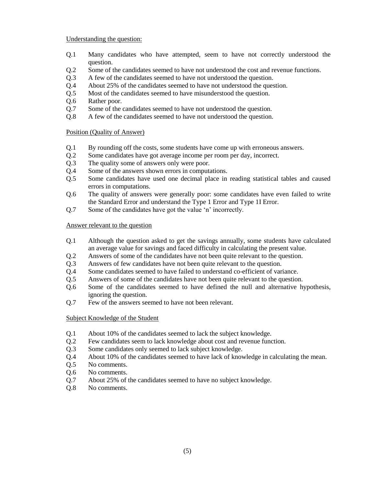### Understanding the question:

- Q.1 Many candidates who have attempted, seem to have not correctly understood the question.
- Q.2 Some of the candidates seemed to have not understood the cost and revenue functions.
- Q.3 A few of the candidates seemed to have not understood the question.
- Q.4 About 25% of the candidates seemed to have not understood the question.
- Q.5 Most of the candidates seemed to have misunderstood the question.
- Q.6 Rather poor.
- Q.7 Some of the candidates seemed to have not understood the question.
- Q.8 A few of the candidates seemed to have not understood the question.

#### Position (Quality of Answer)

- Q.1 By rounding off the costs, some students have come up with erroneous answers.
- Q.2 Some candidates have got average income per room per day, incorrect.
- Q.3 The quality some of answers only were poor.
- Q.4 Some of the answers shown errors in computations.
- Q.5 Some candidates have used one decimal place in reading statistical tables and caused errors in computations.
- Q.6 The quality of answers were generally poor: some candidates have even failed to write the Standard Error and understand the Type 1 Error and Type 1I Error.
- Q.7 Some of the candidates have got the value 'n' incorrectly.

#### Answer relevant to the question

- Q.1 Although the question asked to get the savings annually, some students have calculated an average value for savings and faced difficulty in calculating the present value.
- Q.2 Answers of some of the candidates have not been quite relevant to the question.
- Q.3 Answers of few candidates have not been quite relevant to the question.
- Q.4 Some candidates seemed to have failed to understand co-efficient of variance.
- Q.5 Answers of some of the candidates have not been quite relevant to the question.
- Q.6 Some of the candidates seemed to have defined the null and alternative hypothesis, ignoring the question.
- Q.7 Few of the answers seemed to have not been relevant.

## Subject Knowledge of the Student

- Q.1 About 10% of the candidates seemed to lack the subject knowledge.
- Q.2 Few candidates seem to lack knowledge about cost and revenue function.
- Q.3 Some candidates only seemed to lack subject knowledge.
- Q.4 About 10% of the candidates seemed to have lack of knowledge in calculating the mean.
- Q.5 No comments.
- Q.6 No comments.
- Q.7 About 25% of the candidates seemed to have no subject knowledge.
- Q.8 No comments.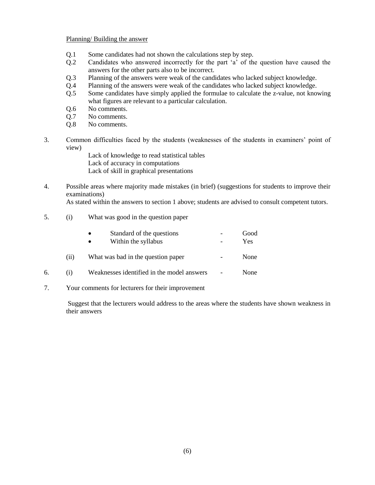#### Planning/ Building the answer

- Q.1 Some candidates had not shown the calculations step by step.
- Q.2 Candidates who answered incorrectly for the part 'a' of the question have caused the answers for the other parts also to be incorrect.
- Q.3 Planning of the answers were weak of the candidates who lacked subject knowledge.
- Q.4 Planning of the answers were weak of the candidates who lacked subject knowledge.
- Q.5 Some candidates have simply applied the formulae to calculate the z-value, not knowing what figures are relevant to a particular calculation.
- Q.6 No comments.
- Q.7 No comments.
- Q.8 No comments.
- 3. Common difficulties faced by the students (weaknesses of the students in examiners' point of view)
	- Lack of knowledge to read statistical tables Lack of accuracy in computations Lack of skill in graphical presentations
- 4. Possible areas where majority made mistakes (in brief) (suggestions for students to improve their examinations)

As stated within the answers to section 1 above; students are advised to consult competent tutors.

5. (i) What was good in the question paper

|    |      | Standard of the questions<br>Within the syllabus | Good<br>Yes |
|----|------|--------------------------------------------------|-------------|
|    | (11) | What was bad in the question paper               | None        |
| 6. |      | Weaknesses identified in the model answers       | None        |

7. Your comments for lecturers for their improvement

Suggest that the lecturers would address to the areas where the students have shown weakness in their answers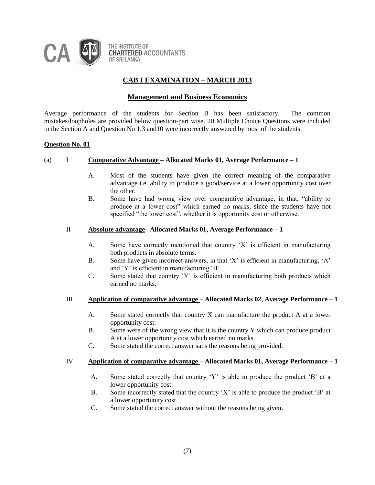

## **Management and Business Economics**

Average performance of the students for Section B has been satisfactory. The common mistakes/loopholes are provided below question-part wise. 20 Multiple Choice Questions were included in the Section A and Question No 1,3 and10 were incorrectly answered by most of the students.

#### **Question No. 01**

#### (a) I **Comparative Advantage – Allocated Marks 01, Average Performance – 1**

- A. Most of the students have given the correct meaning of the comparative advantage i.e. ability to produce a good/service at a lower opportunity cost over the other.
- B. Some have had wrong view over comparative advantage, in that, "ability to produce at a lower cost" which earned no marks, since the students have not specified "the lower cost", whether it is opportunity cost or otherwise.

#### II **Absolute advantage**– **Allocated Marks 01, Average Performance – 1**

- A. Some have correctly mentioned that country 'X' is efficient in manufacturing both products in absolute terms.
- B. Some have given incorrect answers, in that 'X' is efficient in manufacturing, 'A' and 'Y' is efficient in manufacturing 'B'.
- C. Some stated that country 'Y' is efficient in manufacturing both products which earned no marks.

#### III **Application of comparative advantage** – **Allocated Marks 02, Average Performance – 1**

- A. Some stated correctly that country X can manufacture the product A at a lower opportunity cost.
- B. Some were of the wrong view that it is the country Y which can produce product A at a lower opportunity cost which earned no marks.
- C. Some stated the correct answer sans the reasons being provided.

#### IV **Application of comparative advantage** – **Allocated Marks 01, Average Performance – 1**

- A. Some stated correctly that country 'Y' is able to produce the product 'B' at a lower opportunity cost.
- B. Some incorrectly stated that the country 'X' is able to produce the product 'B' at a lower opportunity cost.
- C. Some stated the correct answer without the reasons being given.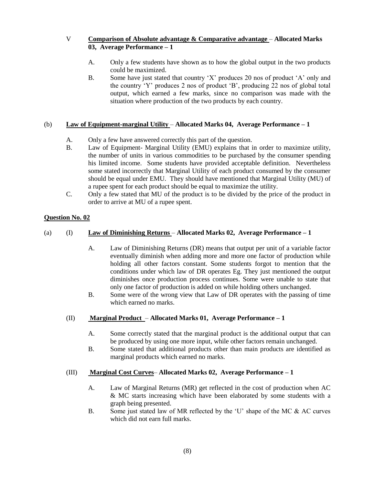## V **Comparison of Absolute advantage & Comparative advantage** – **Allocated Marks 03, Average Performance – 1**

- A. Only a few students have shown as to how the global output in the two products could be maximized.
- B. Some have just stated that country 'X' produces 20 nos of product 'A' only and the country 'Y' produces 2 nos of product 'B', producing 22 nos of global total output, which earned a few marks, since no comparison was made with the situation where production of the two products by each country.

## (b) **Law of Equipment-marginal Utility** – **Allocated Marks 04, Average Performance – 1**

- A. Only a few have answered correctly this part of the question.
- B. Law of Equipment- Marginal Utility (EMU) explains that in order to maximize utility, the number of units in various commodities to be purchased by the consumer spending his limited income. Some students have provided acceptable definition. Nevertheless some stated incorrectly that Marginal Utility of each product consumed by the consumer should be equal under EMU. They should have mentioned that Marginal Utility (MU) of a rupee spent for each product should be equal to maximize the utility.
- C. Only a few stated that MU of the product is to be divided by the price of the product in order to arrive at MU of a rupee spent.

## **Question No. 02**

## (a) (I) **Law of Diminishing Returns** – **Allocated Marks 02, Average Performance – 1**

- A. Law of Diminishing Returns (DR) means that output per unit of a variable factor eventually diminish when adding more and more one factor of production while holding all other factors constant. Some students forgot to mention that the conditions under which law of DR operates Eg. They just mentioned the output diminishes once production process continues. Some were unable to state that only one factor of production is added on while holding others unchanged.
- B. Some were of the wrong view that Law of DR operates with the passing of time which earned no marks.

## (II) **Marginal Product** – **Allocated Marks 01, Average Performance – 1**

- A. Some correctly stated that the marginal product is the additional output that can be produced by using one more input, while other factors remain unchanged.
- B. Some stated that additional products other than main products are identified as marginal products which earned no marks.

## (III) **Marginal Cost Curves**– **Allocated Marks 02, Average Performance – 1**

- A. Law of Marginal Returns (MR) get reflected in the cost of production when AC & MC starts increasing which have been elaborated by some students with a graph being presented.
- B. Some just stated law of MR reflected by the 'U' shape of the MC & AC curves which did not earn full marks.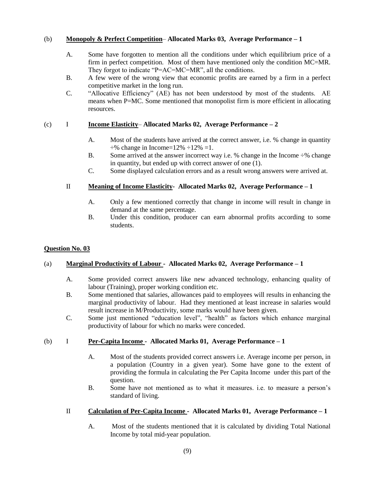## (b) **Monopoly & Perfect Competition**– **Allocated Marks 03, Average Performance – 1**

- A. Some have forgotten to mention all the conditions under which equilibrium price of a firm in perfect competition. Most of them have mentioned only the condition MC=MR. They forgot to indicate "P=AC=MC=MR", all the conditions.
- B. A few were of the wrong view that economic profits are earned by a firm in a perfect competitive market in the long run.
- C. "Allocative Efficiency" (AE) has not been understood by most of the students. AE means when P=MC. Some mentioned that monopolist firm is more efficient in allocating resources.

## (c) I **Income Elasticity**– **Allocated Marks 02, Average Performance – 2**

- A. Most of the students have arrived at the correct answer, i.e. % change in quantity  $\div\%$  change in Income=12%  $\div12\%$  =1.
- B. Some arrived at the answer incorrect way i.e. % change in the Income  $\div$ % change in quantity, but ended up with correct answer of one (1).
- C. Some displayed calculation errors and as a result wrong answers were arrived at.

## II **Meaning of Income Elasticity- Allocated Marks 02, Average Performance – 1**

- A. Only a few mentioned correctly that change in income will result in change in demand at the same percentage.
- B. Under this condition, producer can earn abnormal profits according to some students.

#### **Question No. 03**

#### (a) **Marginal Productivity of Labour - Allocated Marks 02, Average Performance – 1**

- A. Some provided correct answers like new advanced technology, enhancing quality of labour (Training), proper working condition etc.
- B. Some mentioned that salaries, allowances paid to employees will results in enhancing the marginal productivity of labour. Had they mentioned at least increase in salaries would result increase in M/Productivity, some marks would have been given.
- C. Some just mentioned "education level", "health" as factors which enhance marginal productivity of labour for which no marks were conceded.

#### (b) I **Per-Capita Income - Allocated Marks 01, Average Performance – 1**

- A. Most of the students provided correct answers i.e. Average income per person, in a population (Country in a given year). Some have gone to the extent of providing the formula in calculating the Per Capita Income under this part of the question.
- B. Some have not mentioned as to what it measures. i.e. to measure a person's standard of living.

## II **Calculation of Per-Capita Income - Allocated Marks 01, Average Performance – 1**

A. Most of the students mentioned that it is calculated by dividing Total National Income by total mid-year population.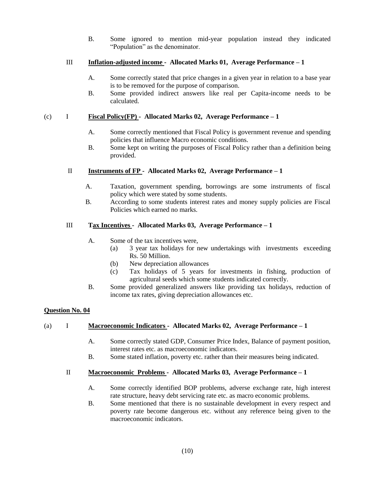B. Some ignored to mention mid-year population instead they indicated "Population" as the denominator.

## III **Inflation-adjusted income - Allocated Marks 01, Average Performance – 1**

- A. Some correctly stated that price changes in a given year in relation to a base year is to be removed for the purpose of comparison.
- B. Some provided indirect answers like real per Capita-income needs to be calculated.

## (c) I **Fiscal Policy(FP) - Allocated Marks 02, Average Performance – 1**

- A. Some correctly mentioned that Fiscal Policy is government revenue and spending policies that influence Macro economic conditions.
- B. Some kept on writing the purposes of Fiscal Policy rather than a definition being provided.

## II **Instruments of FP - Allocated Marks 02, Average Performance – 1**

- A. Taxation, government spending, borrowings are some instruments of fiscal policy which were stated by some students.
- B. According to some students interest rates and money supply policies are Fiscal Policies which earned no marks.

## III **Tax Incentives - Allocated Marks 03, Average Performance – 1**

- A. Some of the tax incentives were,
	- (a) 3 year tax holidays for new undertakings with investments exceeding Rs. 50 Million.
	- (b) New depreciation allowances
	- (c) Tax holidays of 5 years for investments in fishing, production of agricultural seeds which some students indicated correctly.
- B. Some provided generalized answers like providing tax holidays, reduction of income tax rates, giving depreciation allowances etc.

#### **Question No. 04**

## (a) I **Macroeconomic Indicators - Allocated Marks 02, Average Performance – 1**

- A. Some correctly stated GDP, Consumer Price Index, Balance of payment position, interest rates etc. as macroeconomic indicators.
- B. Some stated inflation, poverty etc. rather than their measures being indicated.

## II **Macroeconomic Problems - Allocated Marks 03, Average Performance – 1**

- A. Some correctly identified BOP problems, adverse exchange rate, high interest rate structure, heavy debt servicing rate etc. as macro economic problems.
- B. Some mentioned that there is no sustainable development in every respect and poverty rate become dangerous etc. without any reference being given to the macroeconomic indicators.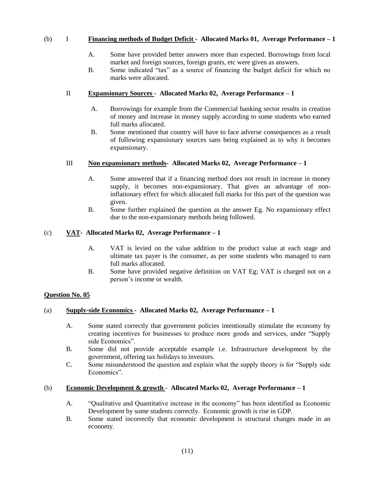## (b) I **Financing methods of Budget Deficit - Allocated Marks 01, Average Performance – 1**

- A. Some have provided better answers more than expected. Borrowings from local market and foreign sources, foreign grants, etc were given as answers.
- B. Some indicated "tax" as a source of financing the budget deficit for which no marks were allocated.

### II **Expansionary Sources - Allocated Marks 02, Average Performance – 1**

- A. Borrowings for example from the Commercial banking sector results in creation of money and increase in money supply according to some students who earned full marks allocated.
- B. Some mentioned that country will have to face adverse consequences as a result of following expansionary sources sans being explained as to why it becomes expansionary.

#### III **Non expansionary methods- Allocated Marks 02, Average Performance – 1**

- A. Some answered that if a financing method does not result in increase in money supply, it becomes non-expansionary. That gives an advantage of noninflationary effect for which allocated full marks for this part of the question was given.
- B. Some further explained the question as the answer Eg. No expansionary effect due to the non-expansionary methods being followed.

## (c) **VAT- Allocated Marks 02, Average Performance – 1**

- A. VAT is levied on the value addition to the product value at each stage and ultimate tax payer is the consumer, as per some students who managed to earn full marks allocated.
- B. Some have provided negative definition on VAT Eg; VAT is charged not on a person's income or wealth.

#### **Question No. 05**

## (a) **Supply-side Economics - Allocated Marks 02, Average Performance – 1**

- A. Some stated correctly that government policies intentionally stimulate the economy by creating incentives for businesses to produce more goods and services, under "Supply side Economics".
- B. Some did not provide acceptable example i.e. Infrastructure development by the government, offering tax holidays to investors.
- C. Some misunderstood the question and explain what the supply theory is for "Supply side Economics"

#### (b) **Economic Development & growth - Allocated Marks 02, Average Performance – 1**

- A. "Qualitative and Quantitative increase in the economy" has been identified as Economic Development by some students correctly. Economic growth is rise in GDP.
- B. Some stated incorrectly that economic development is structural changes made in an economy.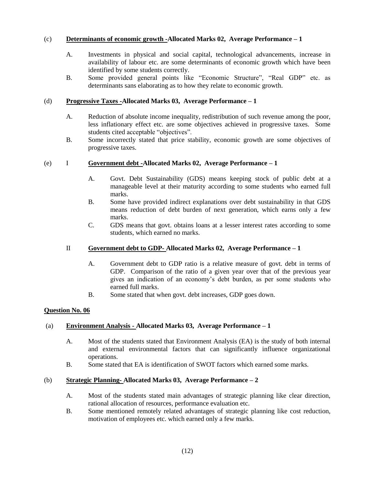## (c) **Determinants of economic growth -Allocated Marks 02, Average Performance – 1**

- A. Investments in physical and social capital, technological advancements, increase in availability of labour etc. are some determinants of economic growth which have been identified by some students correctly.
- B. Some provided general points like "Economic Structure", "Real GDP" etc. as determinants sans elaborating as to how they relate to economic growth.

### (d) **Progressive Taxes -Allocated Marks 03, Average Performance – 1**

- A. Reduction of absolute income inequality, redistribution of such revenue among the poor, less inflationary effect etc. are some objectives achieved in progressive taxes. Some students cited acceptable "objectives".
- B. Some incorrectly stated that price stability, economic growth are some objectives of progressive taxes.

#### (e) I **Government debt -Allocated Marks 02, Average Performance – 1**

- A. Govt. Debt Sustainability (GDS) means keeping stock of public debt at a manageable level at their maturity according to some students who earned full marks.
- B. Some have provided indirect explanations over debt sustainability in that GDS means reduction of debt burden of next generation, which earns only a few marks.
- C. GDS means that govt. obtains loans at a lesser interest rates according to some students, which earned no marks.

#### II **Government debt to GDP- Allocated Marks 02, Average Performance – 1**

- A. Government debt to GDP ratio is a relative measure of govt. debt in terms of GDP. Comparison of the ratio of a given year over that of the previous year gives an indication of an economy's debt burden, as per some students who earned full marks.
- B. Some stated that when govt. debt increases, GDP goes down.

#### **Question No. 06**

#### (a) **Environment Analysis - Allocated Marks 03, Average Performance – 1**

- A. Most of the students stated that Environment Analysis (EA) is the study of both internal and external environmental factors that can significantly influence organizational operations.
- B. Some stated that EA is identification of SWOT factors which earned some marks.

#### (b) **Strategic Planning- Allocated Marks 03, Average Performance – 2**

- A. Most of the students stated main advantages of strategic planning like clear direction, rational allocation of resources, performance evaluation etc.
- B. Some mentioned remotely related advantages of strategic planning like cost reduction, motivation of employees etc. which earned only a few marks.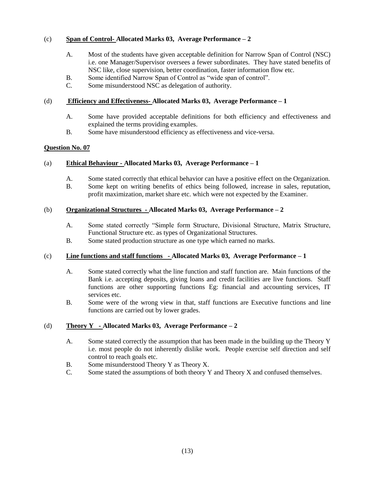## (c) **Span of Control- Allocated Marks 03, Average Performance – 2**

- A. Most of the students have given acceptable definition for Narrow Span of Control (NSC) i.e. one Manager/Supervisor oversees a fewer subordinates. They have stated benefits of NSC like, close supervision, better coordination, faster information flow etc.
- B. Some identified Narrow Span of Control as "wide span of control".
- C. Some misunderstood NSC as delegation of authority.

## (d) **Efficiency and Effectiveness- Allocated Marks 03, Average Performance – 1**

- A. Some have provided acceptable definitions for both efficiency and effectiveness and explained the terms providing examples.
- B. Some have misunderstood efficiency as effectiveness and vice-versa.

## **Question No. 07**

## (a) **Ethical Behaviour - Allocated Marks 03, Average Performance – 1**

- A. Some stated correctly that ethical behavior can have a positive effect on the Organization.
- B. Some kept on writing benefits of ethics being followed, increase in sales, reputation, profit maximization, market share etc. which were not expected by the Examiner.

#### (b) **Organizational Structures - Allocated Marks 03, Average Performance – 2**

- A. Some stated correctly "Simple form Structure, Divisional Structure, Matrix Structure, Functional Structure etc. as types of Organizational Structures.
- B. Some stated production structure as one type which earned no marks.

## (c) **Line functions and staff functions - Allocated Marks 03, Average Performance – 1**

- A. Some stated correctly what the line function and staff function are. Main functions of the Bank i.e. accepting deposits, giving loans and credit facilities are live functions. Staff functions are other supporting functions Eg: financial and accounting services, IT services etc.
- B. Some were of the wrong view in that, staff functions are Executive functions and line functions are carried out by lower grades.

#### (d) **Theory Y - Allocated Marks 03, Average Performance – 2**

- A. Some stated correctly the assumption that has been made in the building up the Theory Y i.e. most people do not inherently dislike work. People exercise self direction and self control to reach goals etc.
- B. Some misunderstood Theory Y as Theory X.
- C. Some stated the assumptions of both theory Y and Theory X and confused themselves.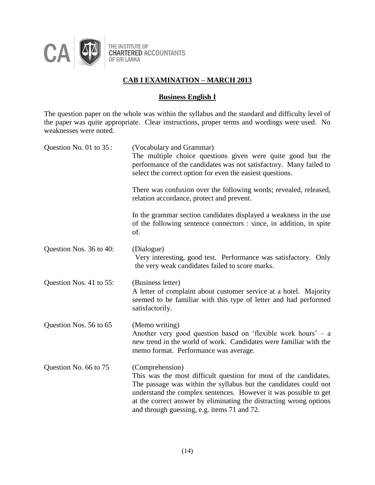

# **Business English I**

The question paper on the whole was within the syllabus and the standard and difficulty level of the paper was quite appropriate. Clear instructions, proper terms and wordings were used. No weaknesses were noted.

| Question No. 01 to 35:  | (Vocabulary and Grammar)<br>The multiple choice questions given were quite good but the<br>performance of the candidates was not satisfactory. Many failed to<br>select the correct option for even the easiest questions.                                                                                                                       |  |  |
|-------------------------|--------------------------------------------------------------------------------------------------------------------------------------------------------------------------------------------------------------------------------------------------------------------------------------------------------------------------------------------------|--|--|
|                         | There was confusion over the following words; revealed, released,<br>relation accordance, protect and prevent.                                                                                                                                                                                                                                   |  |  |
|                         | In the grammar section candidates displayed a weakness in the use<br>of the following sentence connectors : since, in addition, in spite<br>of.                                                                                                                                                                                                  |  |  |
| Question Nos. 36 to 40: | (Dialogue)<br>Very interesting, good test. Performance was satisfactory. Only<br>the very weak candidates failed to score marks.                                                                                                                                                                                                                 |  |  |
| Question Nos. 41 to 55: | (Business letter)<br>A letter of complaint about customer service at a hotel. Majority<br>seemed to be familiar with this type of letter and had performed<br>satisfactorily.                                                                                                                                                                    |  |  |
| Question Nos. 56 to 65  | (Memo writing)<br>Another very good question based on 'flexible work hours' $-$ a<br>new trend in the world of work. Candidates were familiar with the<br>memo format. Performance was average.                                                                                                                                                  |  |  |
| Question No. 66 to 75   | (Comprehension)<br>This was the most difficult question for most of the candidates.<br>The passage was within the syllabus but the candidates could not<br>understand the complex sentences. However it was possible to get<br>at the correct answer by eliminating the distracting wrong options<br>and through guessing, e.g. items 71 and 72. |  |  |